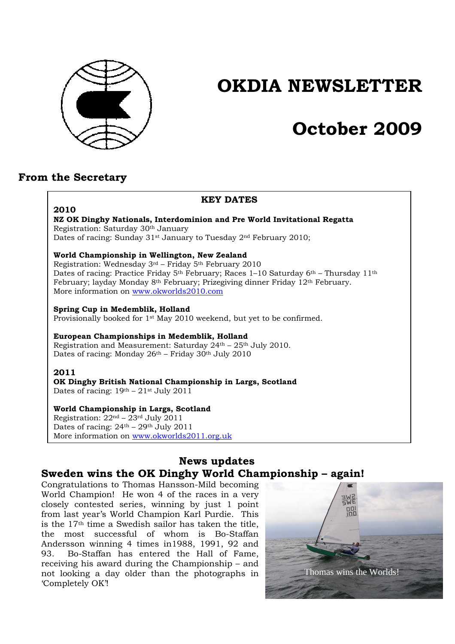

# **OKDIA NEWSLETTER**

# **October 2009**

# **From the Secretary**

## **KEY DATES 2010 NZ OK Dinghy Nationals, Interdominion and Pre World Invitational Regatta**  Registration: Saturday 30th January Dates of racing: Sunday 31<sup>st</sup> January to Tuesday 2<sup>nd</sup> February 2010; **World Championship in Wellington, New Zealand**  Registration: Wednesday 3rd – Friday 5th February 2010 Dates of racing: Practice Friday 5<sup>th</sup> February; Races 1–10 Saturday 6<sup>th</sup> – Thursday 11<sup>th</sup> February; layday Monday 8th February; Prizegiving dinner Friday 12th February. More information on www.okworlds2010.com **Spring Cup in Medemblik, Holland**  Provisionally booked for 1st May 2010 weekend, but yet to be confirmed. **European Championships in Medemblik, Holland**  Registration and Measurement: Saturday 24th – 25th July 2010. Dates of racing: Monday  $26<sup>th</sup>$  – Friday 30<sup>th</sup> July 2010 **2011 OK Dinghy British National Championship in Largs, Scotland**  Dates of racing:  $19<sup>th</sup> - 21<sup>st</sup>$  July 2011 **World Championship in Largs, Scotland**  Registration:  $22<sup>nd</sup> - 23<sup>rd</sup>$  July 2011 Dates of racing:  $24<sup>th</sup> - 29<sup>th</sup>$  July 2011 More information on www.okworlds2011.org.uk

## **News updates Sweden wins the OK Dinghy World Championship – again!**

Congratulations to Thomas Hansson-Mild becoming World Champion! He won 4 of the races in a very closely contested series, winning by just 1 point from last year's World Champion Karl Purdie. This is the 17th time a Swedish sailor has taken the title, the most successful of whom is Bo-Staffan Andersson winning 4 times in1988, 1991, 92 and 93. Bo-Staffan has entered the Hall of Fame, receiving his award during the Championship – and not looking a day older than the photographs in 'Completely OK'!

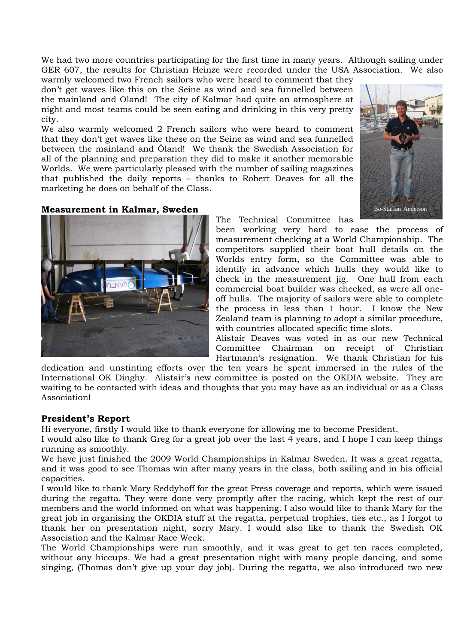We had two more countries participating for the first time in many years. Although sailing under GER 607, the results for Christian Heinze were recorded under the USA Association. We also

warmly welcomed two French sailors who were heard to comment that they don't get waves like this on the Seine as wind and sea funnelled between the mainland and Oland! The city of Kalmar had quite an atmosphere at night and most teams could be seen eating and drinking in this very pretty city.

We also warmly welcomed 2 French sailors who were heard to comment that they don't get waves like these on the Seine as wind and sea funnelled between the mainland and Öland! We thank the Swedish Association for all of the planning and preparation they did to make it another memorable Worlds. We were particularly pleased with the number of sailing magazines that published the daily reports – thanks to Robert Deaves for all the marketing he does on behalf of the Class.

### **Measurement in Kalmar, Sweden**



been working very hard to ease the process of measurement checking at a World Championship. The competitors supplied their boat hull details on the Worlds entry form, so the Committee was able to identify in advance which hulls they would like to check in the measurement jig. One hull from each commercial boat builder was checked, as were all oneoff hulls. The majority of sailors were able to complete the process in less than 1 hour. I know the New Zealand team is planning to adopt a similar procedure, with countries allocated specific time slots.

Alistair Deaves was voted in as our new Technical Committee Chairman on receipt of Christian Hartmann's resignation. We thank Christian for his

dedication and unstinting efforts over the ten years he spent immersed in the rules of the International OK Dinghy. Alistair's new committee is posted on the OKDIA website. They are waiting to be contacted with ideas and thoughts that you may have as an individual or as a Class Association!

#### **President's Report**

Hi everyone, firstly I would like to thank everyone for allowing me to become President.

I would also like to thank Greg for a great job over the last 4 years, and I hope I can keep things running as smoothly.

We have just finished the 2009 World Championships in Kalmar Sweden. It was a great regatta, and it was good to see Thomas win after many years in the class, both sailing and in his official capacities.

I would like to thank Mary Reddyhoff for the great Press coverage and reports, which were issued during the regatta. They were done very promptly after the racing, which kept the rest of our members and the world informed on what was happening. I also would like to thank Mary for the great job in organising the OKDIA stuff at the regatta, perpetual trophies, ties etc., as I forgot to thank her on presentation night, sorry Mary. I would also like to thank the Swedish OK Association and the Kalmar Race Week.

The World Championships were run smoothly, and it was great to get ten races completed, without any hiccups. We had a great presentation night with many people dancing, and some singing, (Thomas don't give up your day job). During the regatta, we also introduced two new